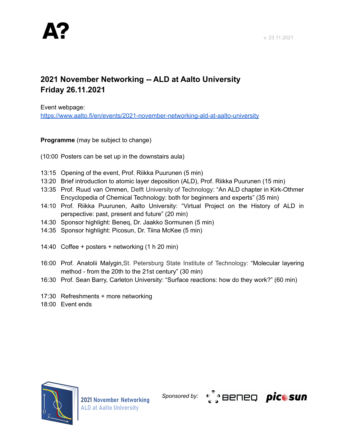## **2021 November Networking -- ALD at Aalto University Friday 26.11.2021**

Event webpage:

<https://www.aalto.fi/en/events/2021-november-networking-ald-at-aalto-university>

**Programme** (may be subject to change)

- (10:00 Posters can be set up in the downstairs aula)
- 13:15 Opening of the event, Prof. Riikka Puurunen (5 min)
- 13:20 Brief introduction to atomic layer deposition (ALD), Prof. Riikka Puurunen (15 min)
- 13:35 Prof. Ruud van Ommen, Delft University of Technology: "An ALD chapter in Kirk-Othmer Encyclopedia of Chemical Technology: both for beginners and experts" (35 min)
- 14:10 Prof. Riikka Puurunen, Aalto University: "Virtual Project on the History of ALD in perspective: past, present and future" (20 min)
- 14:30 Sponsor highlight: Beneq, Dr. Jaakko Sormunen (5 min)
- 14:35 Sponsor highlight: Picosun, Dr. Tiina McKee (5 min)
- 14:40 Coffee + posters + networking (1 h 20 min)
- 16:00 Prof. Anatolii Malygin,St. Petersburg State Institute of Technology: "Molecular layering method - from the 20th to the 21st century" (30 min)
- 16:30 Prof. Sean Barry, Carleton University: "Surface reactions: how do they work?" (60 min)
- 17:30 Refreshments + more networking
- 18:00 Event ends